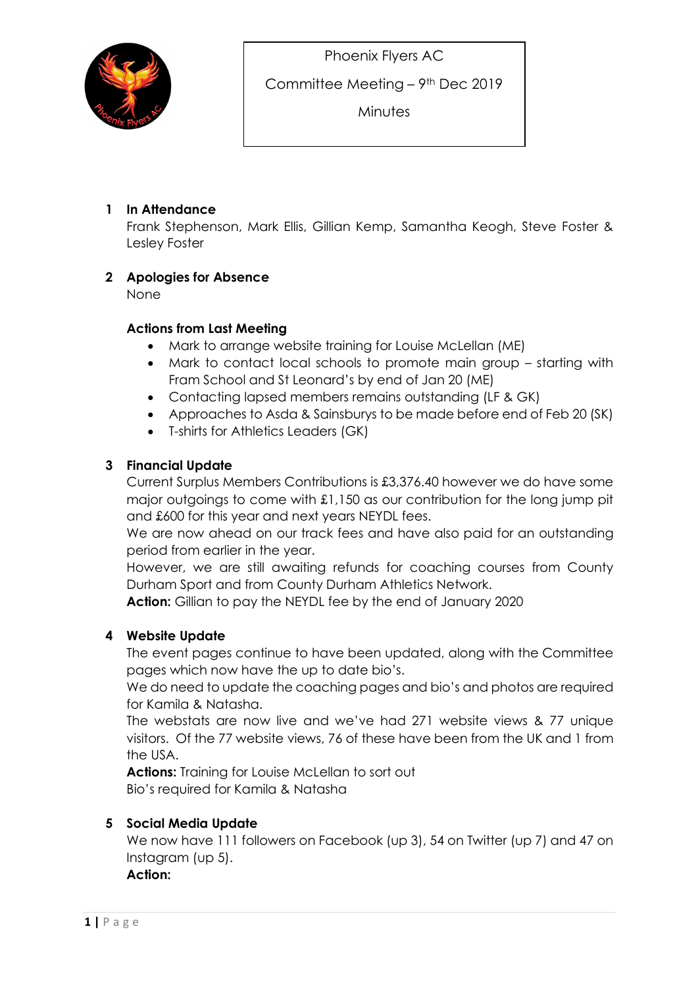

Committee Meeting – 9th Dec 2019

**Minutes** 

# 1 In Attendance

Frank Stephenson, Mark Ellis, Gillian Kemp, Samantha Keogh, Steve Foster & Lesley Foster

## 2 Apologies for Absence

None

## Actions from Last Meeting

- Mark to arrange website training for Louise McLellan (ME)
- Mark to contact local schools to promote main group starting with Fram School and St Leonard's by end of Jan 20 (ME)
- Contacting lapsed members remains outstanding (LF & GK)
- Approaches to Asda & Sainsburys to be made before end of Feb 20 (SK)
- T-shirts for Athletics Leaders (GK)

### 3 Financial Update

Current Surplus Members Contributions is £3,376.40 however we do have some major outgoings to come with £1,150 as our contribution for the long jump pit and £600 for this year and next years NEYDL fees.

We are now ahead on our track fees and have also paid for an outstanding period from earlier in the year.

However, we are still awaiting refunds for coaching courses from County Durham Sport and from County Durham Athletics Network.

Action: Gillian to pay the NEYDL fee by the end of January 2020

## 4 Website Update

The event pages continue to have been updated, along with the Committee pages which now have the up to date bio's.

We do need to update the coaching pages and bio's and photos are required for Kamila & Natasha.

The webstats are now live and we've had 271 website views & 77 unique visitors. Of the 77 website views, 76 of these have been from the UK and 1 from the USA.

Actions: Training for Louise McLellan to sort out Bio's required for Kamila & Natasha

## 5 Social Media Update

We now have 111 followers on Facebook (up 3), 54 on Twitter (up 7) and 47 on Instagram (up 5).

Action: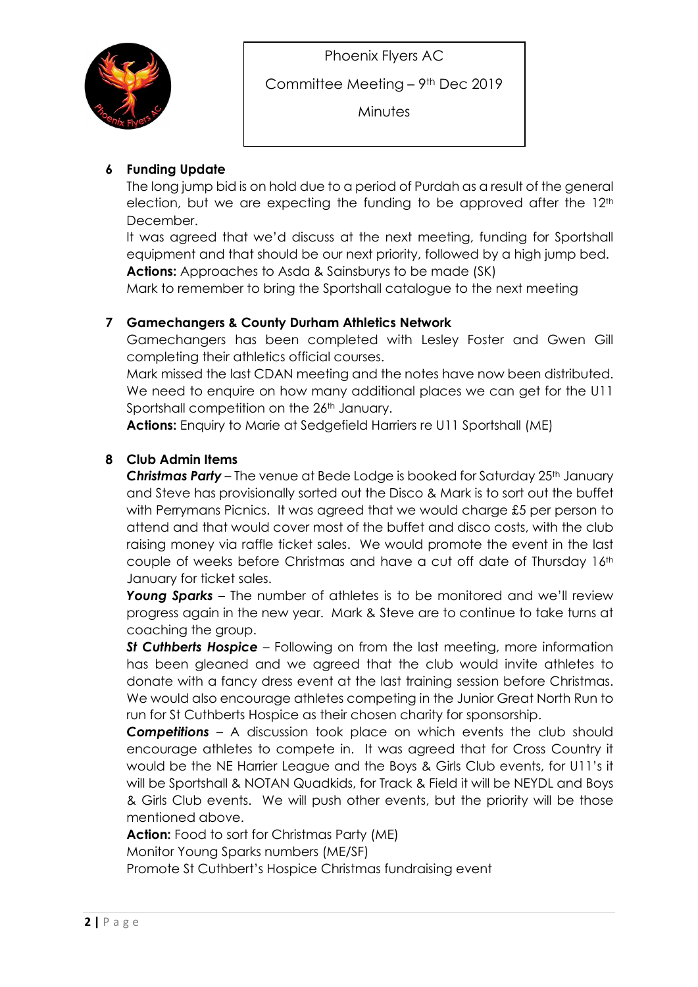

Committee Meeting – 9th Dec 2019

**Minutes** 

# 6 Funding Update

The long jump bid is on hold due to a period of Purdah as a result of the general election, but we are expecting the funding to be approved after the  $12<sup>th</sup>$ December.

It was agreed that we'd discuss at the next meeting, funding for Sportshall equipment and that should be our next priority, followed by a high jump bed. Actions: Approaches to Asda & Sainsburys to be made (SK)

Mark to remember to bring the Sportshall catalogue to the next meeting

## 7 Gamechangers & County Durham Athletics Network

Gamechangers has been completed with Lesley Foster and Gwen Gill completing their athletics official courses.

Mark missed the last CDAN meeting and the notes have now been distributed. We need to enquire on how many additional places we can get for the U11 Sportshall competition on the 26<sup>th</sup> January.

Actions: Enquiry to Marie at Sedgefield Harriers re U11 Sportshall (ME)

## 8 Club Admin Items

**Christmas Party** – The venue at Bede Lodge is booked for Saturday  $25<sup>th</sup>$  January and Steve has provisionally sorted out the Disco & Mark is to sort out the buffet with Perrymans Picnics. It was agreed that we would charge £5 per person to attend and that would cover most of the buffet and disco costs, with the club raising money via raffle ticket sales. We would promote the event in the last couple of weeks before Christmas and have a cut off date of Thursday 16th January for ticket sales.

Young Sparks – The number of athletes is to be monitored and we'll review progress again in the new year. Mark & Steve are to continue to take turns at coaching the group.

St Cuthberts Hospice – Following on from the last meeting, more information has been gleaned and we agreed that the club would invite athletes to donate with a fancy dress event at the last training session before Christmas. We would also encourage athletes competing in the Junior Great North Run to run for St Cuthberts Hospice as their chosen charity for sponsorship.

**Competitions** – A discussion took place on which events the club should encourage athletes to compete in. It was agreed that for Cross Country it would be the NE Harrier League and the Boys & Girls Club events, for U11's it will be Sportshall & NOTAN Quadkids, for Track & Field it will be NEYDL and Boys & Girls Club events. We will push other events, but the priority will be those mentioned above.

Action: Food to sort for Christmas Party (ME) Monitor Young Sparks numbers (ME/SF) Promote St Cuthbert's Hospice Christmas fundraising event